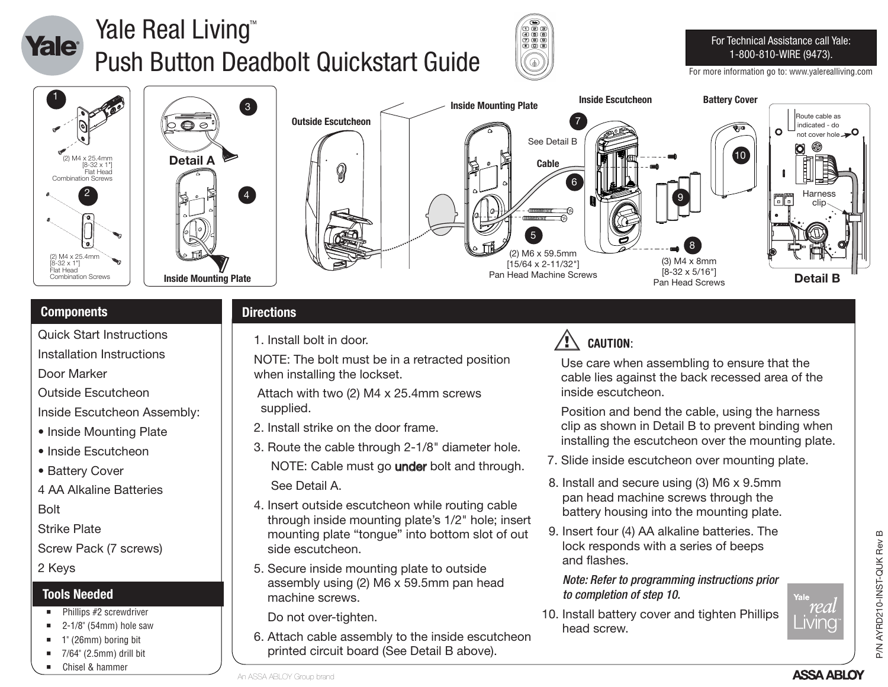

# Yale Real Living<sup>™</sup> Push Button Deadbolt Quickstart Guide



### For Technical Assistance call Yale: 1-800-810-WIRE (9473).

For more information go to: www.yalerealliving.com







## **Components Directions**

Quick Start Instructions

Installation Instructions

Door Marker

Outside Escutcheon

Inside Escutcheon Assembly:

- Inside Mounting Plate
- Inside Escutcheon
- Battery Cover

4 AA Alkaline Batteries

Bolt

Strike Plate

Screw Pack (7 screws)

2 Keys

## **Tools Needed**

- Phillips #2 screwdriver
- $\blacksquare$  2-1/8" (54mm) hole saw
- 1" (26mm) boring bit
- $\blacksquare$  7/64" (2.5mm) drill bit
- Chisel & hammer

1. Install bolt in door.

NOTE: The bolt must be in a retracted position when installing the lockset.

 Attach with two (2) M4 x 25.4mm screws supplied.

- 2. Install strike on the door frame.
- 3. Route the cable through 2-1/8" diameter hole. NOTE: Cable must go **under** bolt and through. See Detail A.
- 4. Insert outside escutcheon while routing cable through inside mounting plate's 1/2" hole; insert mounting plate "tongue" into bottom slot of out side escutcheon.
- 5. Secure inside mounting plate to outside assembly using (2) M6 x 59.5mm pan head machine screws.

Do not over-tighten.

6. Attach cable assembly to the inside escutcheon printed circuit board (See Detail B above).

## **CAUTION**:

 Use care when assembling to ensure that the cable lies against the back recessed area of the inside escutcheon.

 Position and bend the cable, using the harness clip as shown in Detail B to prevent binding when installing the escutcheon over the mounting plate.

- 7. Slide inside escutcheon over mounting plate.
- 8. Install and secure using (3) M6 x 9.5mm pan head machine screws through the battery housing into the mounting plate.
- 9. Insert four (4) AA alkaline batteries. The lock responds with a series of beeps and flashes.

 *Note: Refer to programming instructions prior to completion of step 10.*

10. Install battery cover and tighten Phillips head screw.

rea - MING

Yale